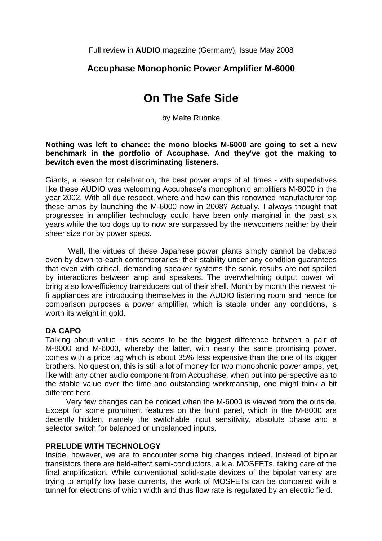Full review in **AUDIO** magazine (Germany), Issue May 2008

## **Accuphase Monophonic Power Amplifier M-6000**

# **On The Safe Side**

by Malte Ruhnke

**Nothing was left to chance: the mono blocks M-6000 are going to set a new benchmark in the portfolio of Accuphase. And they've got the making to bewitch even the most discriminating listeners.** 

Giants, a reason for celebration, the best power amps of all times - with superlatives like these AUDIO was welcoming Accuphase's monophonic amplifiers M-8000 in the year 2002. With all due respect, where and how can this renowned manufacturer top these amps by launching the M-6000 now in 2008? Actually, I always thought that progresses in amplifier technology could have been only marginal in the past six years while the top dogs up to now are surpassed by the newcomers neither by their sheer size nor by power specs.

 Well, the virtues of these Japanese power plants simply cannot be debated even by down-to-earth contemporaries: their stability under any condition guarantees that even with critical, demanding speaker systems the sonic results are not spoiled by interactions between amp and speakers. The overwhelming output power will bring also low-efficiency transducers out of their shell. Month by month the newest hifi appliances are introducing themselves in the AUDIO listening room and hence for comparison purposes a power amplifier, which is stable under any conditions, is worth its weight in gold.

### **DA CAPO**

Talking about value - this seems to be the biggest difference between a pair of M-8000 and M-6000, whereby the latter, with nearly the same promising power, comes with a price tag which is about 35% less expensive than the one of its bigger brothers. No question, this is still a lot of money for two monophonic power amps, yet, like with any other audio component from Accuphase, when put into perspective as to the stable value over the time and outstanding workmanship, one might think a bit different here.

 Very few changes can be noticed when the M-6000 is viewed from the outside. Except for some prominent features on the front panel, which in the M-8000 are decently hidden, namely the switchable input sensitivity, absolute phase and a selector switch for balanced or unbalanced inputs.

### **PRELUDE WITH TECHNOLOGY**

Inside, however, we are to encounter some big changes indeed. Instead of bipolar transistors there are field-effect semi-conductors, a.k.a. MOSFETs, taking care of the final amplification. While conventional solid-state devices of the bipolar variety are trying to amplify low base currents, the work of MOSFETs can be compared with a tunnel for electrons of which width and thus flow rate is regulated by an electric field.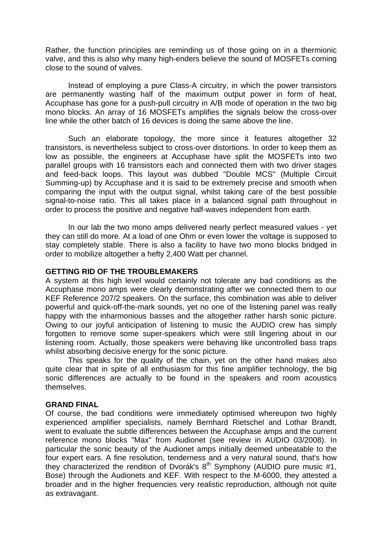Rather, the function principles are reminding us of those going on in a thermionic valve, and this is also why many high-enders believe the sound of MOSFETs coming close to the sound of valves.

 Instead of employing a pure Class-A circuitry, in which the power transistors are permanently wasting half of the maximum output power in form of heat, Accuphase has gone for a push-pull circuitry in A/B mode of operation in the two big mono blocks. An array of 16 MOSFETs amplifies the signals below the cross-over line while the other batch of 16 devices is doing the same above the line.

 Such an elaborate topology, the more since it features altogether 32 transistors, is nevertheless subject to cross-over distortions. In order to keep them as low as possible, the engineers at Accuphase have split the MOSFETs into two parallel groups with 16 transistors each and connected them with two driver stages and feed-back loops. This layout was dubbed "Double MCS" (Multiple Circuit Summing-up) by Accuphase and it is said to be extremely precise and smooth when comparing the input with the output signal, whilst taking care of the best possible signal-to-noise ratio. This all takes place in a balanced signal path throughout in order to process the positive and negative half-waves independent from earth.

 In our lab the two mono amps delivered nearly perfect measured values - yet they can still do more. At a load of one Ohm or even lower the voltage is supposed to stay completely stable. There is also a facility to have two mono blocks bridged in order to mobilize altogether a hefty 2,400 Watt per channel.

### **GETTING RID OF THE TROUBLEMAKERS**

A system at this high level would certainly not tolerate any bad conditions as the Accuphase mono amps were clearly demonstrating after we connected them to our KEF Reference 207/2 speakers. On the surface, this combination was able to deliver powerful and quick-off-the-mark sounds, yet no one of the listening panel was really happy with the inharmonious basses and the altogether rather harsh sonic picture. Owing to our joyful anticipation of listening to music the AUDIO crew has simply forgotten to remove some super-speakers which were still lingering about in our listening room. Actually, those speakers were behaving like uncontrolled bass traps whilst absorbing decisive energy for the sonic picture.

 This speaks for the quality of the chain, yet on the other hand makes also quite clear that in spite of all enthusiasm for this fine amplifier technology, the big sonic differences are actually to be found in the speakers and room acoustics themselves.

#### **GRAND FINAL**

Of course, the bad conditions were immediately optimised whereupon two highly experienced amplifier specialists, namely Bernhard Rietschel and Lothar Brandt, went to evaluate the subtle differences between the Accuphase amps and the current reference mono blocks "Max" from Audionet (see review in AUDIO 03/2008). In particular the sonic beauty of the Audionet amps initially deemed unbeatable to the four expert ears. A fine resolution, tenderness and a very natural sound, that's how they characterized the rendition of Dvorák's  $8<sup>th</sup>$  Symphony (AUDIO pure music #1, Bose) through the Audionets and KEF. With respect to the M-6000, they attested a broader and in the higher frequencies very realistic reproduction, although not quite as extravagant.